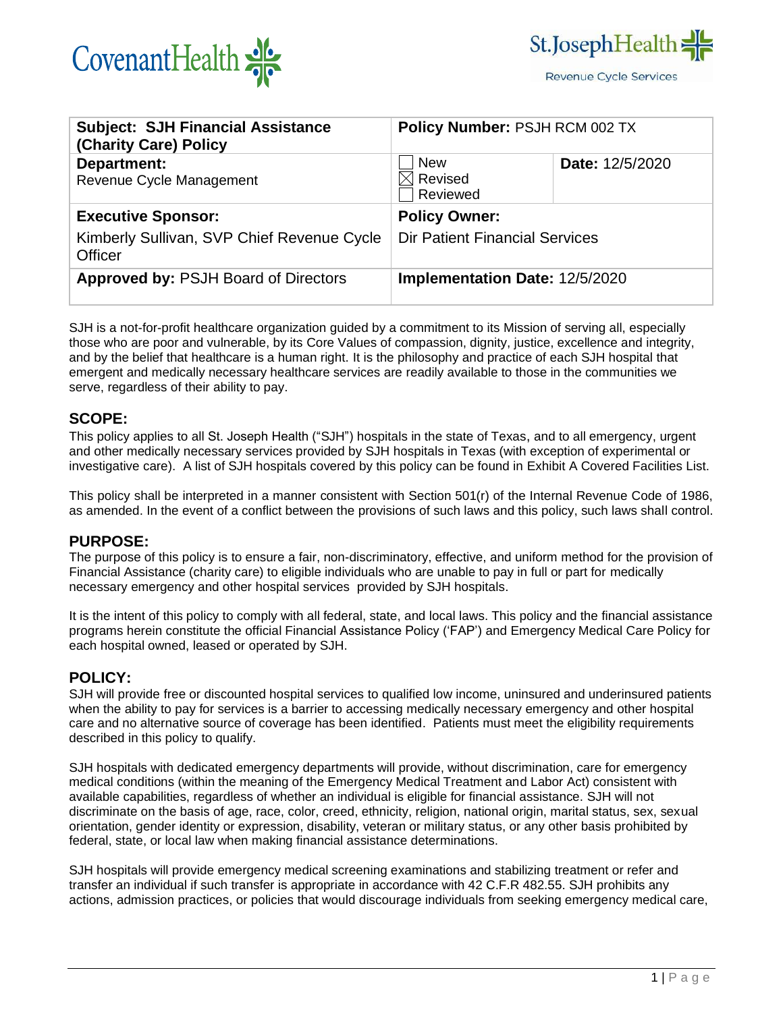



| <b>Subject: SJH Financial Assistance</b><br>(Charity Care) Policy | Policy Number: PSJH RCM 002 TX                |                        |
|-------------------------------------------------------------------|-----------------------------------------------|------------------------|
| Department:<br>Revenue Cycle Management                           | <b>New</b><br>$\boxtimes$ Revised<br>Reviewed | <b>Date: 12/5/2020</b> |
| <b>Executive Sponsor:</b>                                         | <b>Policy Owner:</b>                          |                        |
| Kimberly Sullivan, SVP Chief Revenue Cycle<br><b>Officer</b>      | <b>Dir Patient Financial Services</b>         |                        |
| <b>Approved by: PSJH Board of Directors</b>                       | <b>Implementation Date: 12/5/2020</b>         |                        |

SJH is a not-for-profit healthcare organization guided by a commitment to its Mission of serving all, especially those who are poor and vulnerable, by its Core Values of compassion, dignity, justice, excellence and integrity, and by the belief that healthcare is a human right. It is the philosophy and practice of each SJH hospital that emergent and medically necessary healthcare services are readily available to those in the communities we serve, regardless of their ability to pay.

#### **SCOPE:**

This policy applies to all St. Joseph Health ("SJH") hospitals in the state of Texas, and to all emergency, urgent and other medically necessary services provided by SJH hospitals in Texas (with exception of experimental or investigative care). A list of SJH hospitals covered by this policy can be found in Exhibit A Covered Facilities List.

This policy shall be interpreted in a manner consistent with Section 501(r) of the Internal Revenue Code of 1986, as amended. In the event of a conflict between the provisions of such laws and this policy, such laws shall control.

### **PURPOSE:**

The purpose of this policy is to ensure a fair, non-discriminatory, effective, and uniform method for the provision of Financial Assistance (charity care) to eligible individuals who are unable to pay in full or part for medically necessary emergency and other hospital services provided by SJH hospitals.

It is the intent of this policy to comply with all federal, state, and local laws. This policy and the financial assistance programs herein constitute the official Financial Assistance Policy ('FAP') and Emergency Medical Care Policy for each hospital owned, leased or operated by SJH.

#### **POLICY:**

SJH will provide free or discounted hospital services to qualified low income, uninsured and underinsured patients when the ability to pay for services is a barrier to accessing medically necessary emergency and other hospital care and no alternative source of coverage has been identified. Patients must meet the eligibility requirements described in this policy to qualify.

SJH hospitals with dedicated emergency departments will provide, without discrimination, care for emergency medical conditions (within the meaning of the Emergency Medical Treatment and Labor Act) consistent with available capabilities, regardless of whether an individual is eligible for financial assistance. SJH will not discriminate on the basis of age, race, color, creed, ethnicity, religion, national origin, marital status, sex, sexual orientation, gender identity or expression, disability, veteran or military status, or any other basis prohibited by federal, state, or local law when making financial assistance determinations.

SJH hospitals will provide emergency medical screening examinations and stabilizing treatment or refer and transfer an individual if such transfer is appropriate in accordance with 42 C.F.R 482.55. SJH prohibits any actions, admission practices, or policies that would discourage individuals from seeking emergency medical care,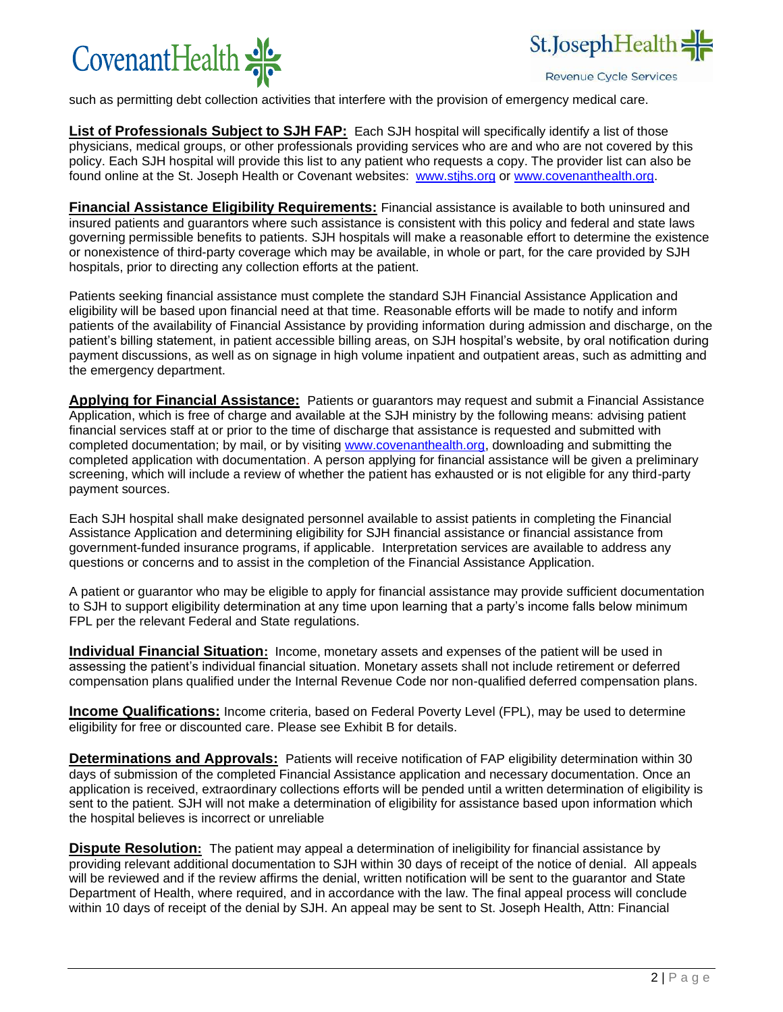



**Revenue Cycle Services** 

such as permitting debt collection activities that interfere with the provision of emergency medical care.

**List of Professionals Subject to SJH FAP:** Each SJH hospital will specifically identify a list of those physicians, medical groups, or other professionals providing services who are and who are not covered by this policy. Each SJH hospital will provide this list to any patient who requests a copy. The provider list can also be found online at the St. Joseph Health or Covenant websites: [www.stjhs.org](http://www.stjhs.org/) or [www.covenanthealth.org.](http://www.covenanthealth.org/)

**Financial Assistance Eligibility Requirements:** Financial assistance is available to both uninsured and insured patients and guarantors where such assistance is consistent with this policy and federal and state laws governing permissible benefits to patients. SJH hospitals will make a reasonable effort to determine the existence or nonexistence of third-party coverage which may be available, in whole or part, for the care provided by SJH hospitals, prior to directing any collection efforts at the patient.

Patients seeking financial assistance must complete the standard SJH Financial Assistance Application and eligibility will be based upon financial need at that time. Reasonable efforts will be made to notify and inform patients of the availability of Financial Assistance by providing information during admission and discharge, on the patient's billing statement, in patient accessible billing areas, on SJH hospital's website, by oral notification during payment discussions, as well as on signage in high volume inpatient and outpatient areas, such as admitting and the emergency department.

**Applying for Financial Assistance:** Patients or guarantors may request and submit a Financial Assistance Application, which is free of charge and available at the SJH ministry by the following means: advising patient financial services staff at or prior to the time of discharge that assistance is requested and submitted with completed documentation; by mail, or by visiting [www.covenanthealth.org,](http://www.covenanthealth.org/) downloading and submitting the completed application with documentation. A person applying for financial assistance will be given a preliminary screening, which will include a review of whether the patient has exhausted or is not eligible for any third-party payment sources.

Each SJH hospital shall make designated personnel available to assist patients in completing the Financial Assistance Application and determining eligibility for SJH financial assistance or financial assistance from government-funded insurance programs, if applicable. Interpretation services are available to address any questions or concerns and to assist in the completion of the Financial Assistance Application.

A patient or guarantor who may be eligible to apply for financial assistance may provide sufficient documentation to SJH to support eligibility determination at any time upon learning that a party's income falls below minimum FPL per the relevant Federal and State regulations.

**Individual Financial Situation:** Income, monetary assets and expenses of the patient will be used in assessing the patient's individual financial situation. Monetary assets shall not include retirement or deferred compensation plans qualified under the Internal Revenue Code nor non-qualified deferred compensation plans.

**Income Qualifications:** Income criteria, based on Federal Poverty Level (FPL), may be used to determine eligibility for free or discounted care. Please see Exhibit B for details.

**Determinations and Approvals:** Patients will receive notification of FAP eligibility determination within 30 days of submission of the completed Financial Assistance application and necessary documentation. Once an application is received, extraordinary collections efforts will be pended until a written determination of eligibility is sent to the patient. SJH will not make a determination of eligibility for assistance based upon information which the hospital believes is incorrect or unreliable

**Dispute Resolution:** The patient may appeal a determination of ineligibility for financial assistance by providing relevant additional documentation to SJH within 30 days of receipt of the notice of denial. All appeals will be reviewed and if the review affirms the denial, written notification will be sent to the guarantor and State Department of Health, where required, and in accordance with the law. The final appeal process will conclude within 10 days of receipt of the denial by SJH. An appeal may be sent to St. Joseph Health, Attn: Financial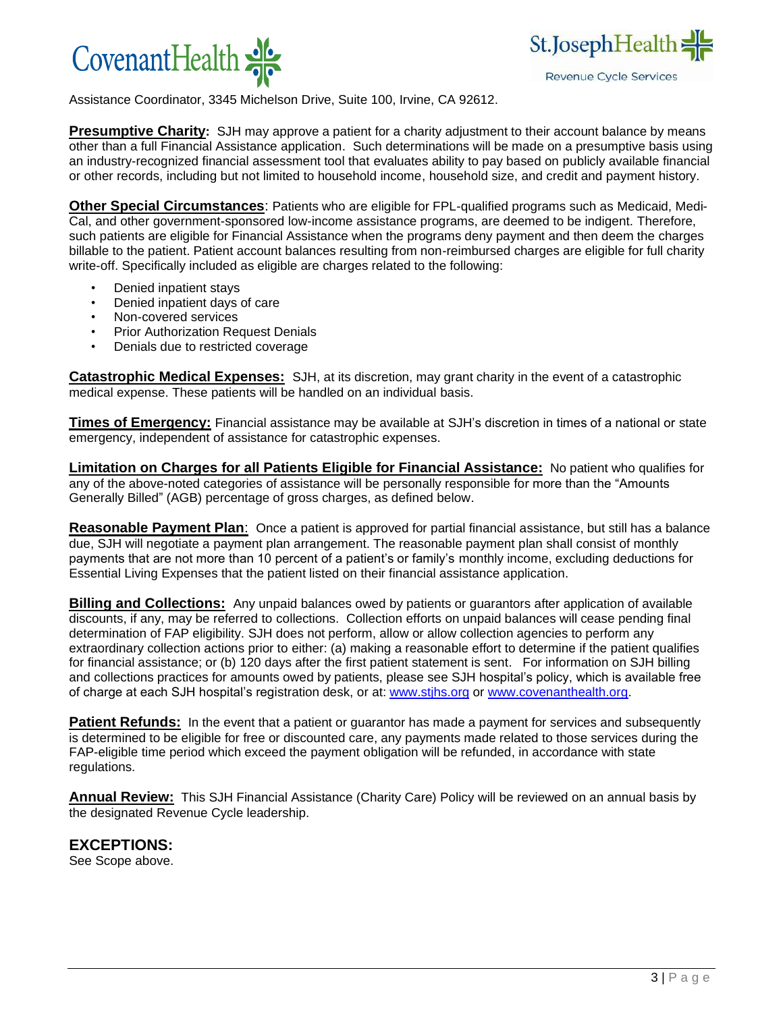



Assistance Coordinator, 3345 Michelson Drive, Suite 100, Irvine, CA 92612.

**Presumptive Charity:** SJH may approve a patient for a charity adjustment to their account balance by means other than a full Financial Assistance application. Such determinations will be made on a presumptive basis using an industry-recognized financial assessment tool that evaluates ability to pay based on publicly available financial or other records, including but not limited to household income, household size, and credit and payment history.

**Other Special Circumstances**: Patients who are eligible for FPL-qualified programs such as Medicaid, Medi-Cal, and other government-sponsored low-income assistance programs, are deemed to be indigent. Therefore, such patients are eligible for Financial Assistance when the programs deny payment and then deem the charges billable to the patient. Patient account balances resulting from non-reimbursed charges are eligible for full charity write-off. Specifically included as eligible are charges related to the following:

- Denied inpatient stays
- Denied inpatient days of care
- Non-covered services
- Prior Authorization Request Denials
- Denials due to restricted coverage

**Catastrophic Medical Expenses:** SJH, at its discretion, may grant charity in the event of a catastrophic medical expense. These patients will be handled on an individual basis.

**Times of Emergency:** Financial assistance may be available at SJH's discretion in times of a national or state emergency, independent of assistance for catastrophic expenses.

**Limitation on Charges for all Patients Eligible for Financial Assistance:** No patient who qualifies for any of the above-noted categories of assistance will be personally responsible for more than the "Amounts Generally Billed" (AGB) percentage of gross charges, as defined below.

**Reasonable Payment Plan**: Once a patient is approved for partial financial assistance, but still has a balance due, SJH will negotiate a payment plan arrangement. The reasonable payment plan shall consist of monthly payments that are not more than 10 percent of a patient's or family's monthly income, excluding deductions for Essential Living Expenses that the patient listed on their financial assistance application.

**Billing and Collections:** Any unpaid balances owed by patients or guarantors after application of available discounts, if any, may be referred to collections. Collection efforts on unpaid balances will cease pending final determination of FAP eligibility. SJH does not perform, allow or allow collection agencies to perform any extraordinary collection actions prior to either: (a) making a reasonable effort to determine if the patient qualifies for financial assistance; or (b) 120 days after the first patient statement is sent. For information on SJH billing and collections practices for amounts owed by patients, please see SJH hospital's policy, which is available free of charge at each SJH hospital's registration desk, or at[: www.stjhs.org](http://www.stjhs.org/) or [www.covenanthealth.org.](http://www.covenanthealth.org/)

**Patient Refunds:** In the event that a patient or guarantor has made a payment for services and subsequently is determined to be eligible for free or discounted care, any payments made related to those services during the FAP-eligible time period which exceed the payment obligation will be refunded, in accordance with state regulations.

**Annual Review:** This SJH Financial Assistance (Charity Care) Policy will be reviewed on an annual basis by the designated Revenue Cycle leadership.

### **EXCEPTIONS:**

See Scope above.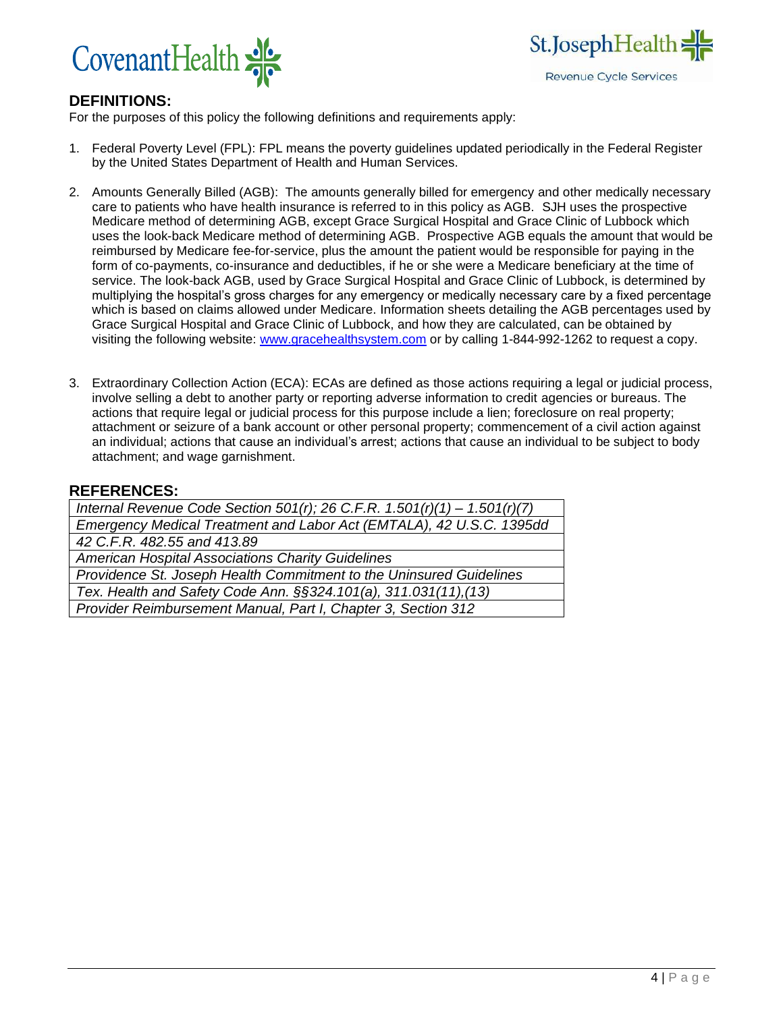



## **DEFINITIONS:**

For the purposes of this policy the following definitions and requirements apply:

- 1. Federal Poverty Level (FPL): FPL means the poverty guidelines updated periodically in the Federal Register by the United States Department of Health and Human Services.
- 2. Amounts Generally Billed (AGB): The amounts generally billed for emergency and other medically necessary care to patients who have health insurance is referred to in this policy as AGB. SJH uses the prospective Medicare method of determining AGB, except Grace Surgical Hospital and Grace Clinic of Lubbock which uses the look-back Medicare method of determining AGB. Prospective AGB equals the amount that would be reimbursed by Medicare fee-for-service, plus the amount the patient would be responsible for paying in the form of co-payments, co-insurance and deductibles, if he or she were a Medicare beneficiary at the time of service. The look-back AGB, used by Grace Surgical Hospital and Grace Clinic of Lubbock, is determined by multiplying the hospital's gross charges for any emergency or medically necessary care by a fixed percentage which is based on claims allowed under Medicare. Information sheets detailing the AGB percentages used by Grace Surgical Hospital and Grace Clinic of Lubbock, and how they are calculated, can be obtained by visiting the following website: [www.gracehealthsystem.com](http://www.gracehealthsystem.com/) or by calling 1-844-992-1262 to request a copy.
- 3. Extraordinary Collection Action (ECA): ECAs are defined as those actions requiring a legal or judicial process, involve selling a debt to another party or reporting adverse information to credit agencies or bureaus. The actions that require legal or judicial process for this purpose include a lien; foreclosure on real property; attachment or seizure of a bank account or other personal property; commencement of a civil action against an individual; actions that cause an individual's arrest; actions that cause an individual to be subject to body attachment; and wage garnishment.

#### **REFERENCES:**

| Internal Revenue Code Section 501(r); 26 C.F.R. 1.501(r)(1) - 1.501(r)(7) |  |
|---------------------------------------------------------------------------|--|
| Emergency Medical Treatment and Labor Act (EMTALA), 42 U.S.C. 1395dd      |  |
| 42 C.F.R. 482.55 and 413.89                                               |  |
| American Hospital Associations Charity Guidelines                         |  |
| Providence St. Joseph Health Commitment to the Uninsured Guidelines       |  |
| Tex. Health and Safety Code Ann. §§324.101(a), 311.031(11),(13)           |  |
| Provider Reimbursement Manual, Part I, Chapter 3, Section 312             |  |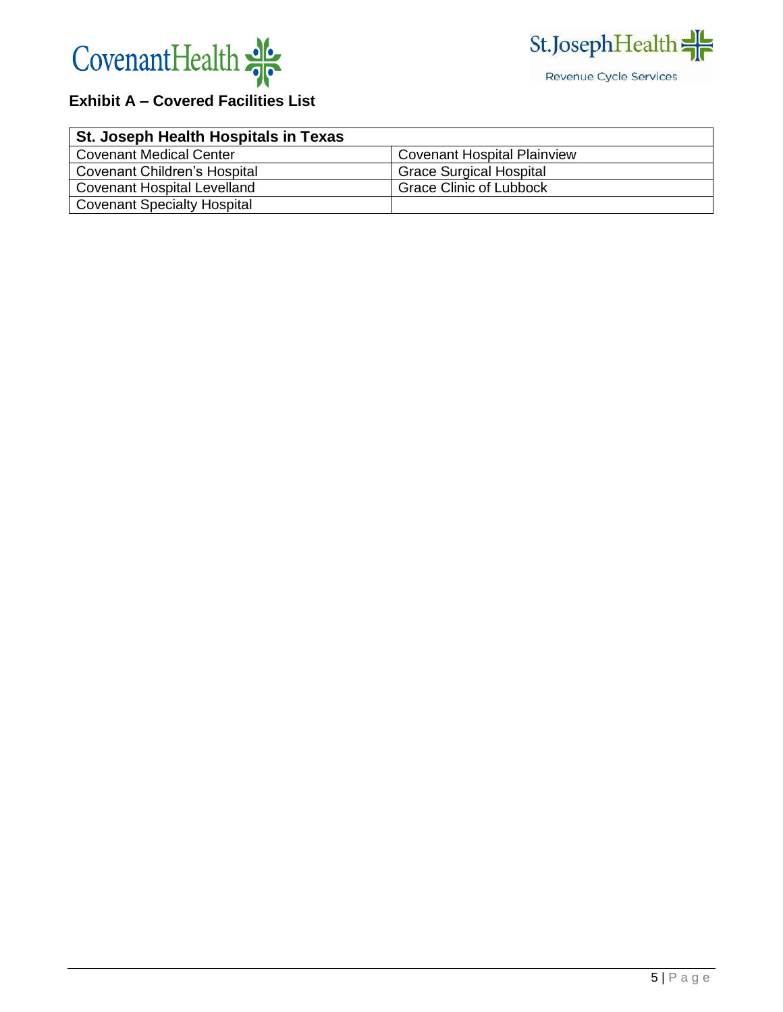



# **Exhibit A – Covered Facilities List**

| St. Joseph Health Hospitals in Texas |                                    |
|--------------------------------------|------------------------------------|
| <b>Covenant Medical Center</b>       | <b>Covenant Hospital Plainview</b> |
| Covenant Children's Hospital         | <b>Grace Surgical Hospital</b>     |
| <b>Covenant Hospital Levelland</b>   | <b>Grace Clinic of Lubbock</b>     |
| <b>Covenant Specialty Hospital</b>   |                                    |